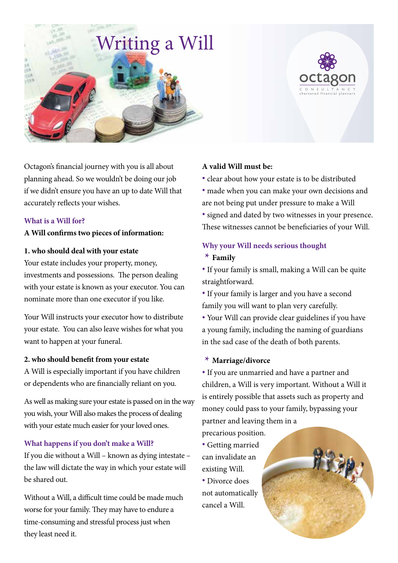

Octagon's financial journey with you is all about planning ahead. So we wouldn't be doing our job if we didn't ensure you have an up to date Will that accurately reflects your wishes.

#### **What is a Will for?**

#### **A Will confirms two pieces of information:**

#### **1. who should deal with your estate**

Your estate includes your property, money, investments and possessions. The person dealing with your estate is known as your executor. You can nominate more than one executor if you like.

Your Will instructs your executor how to distribute your estate. You can also leave wishes for what you want to happen at your funeral.

# **2. who should benefit from your estate**

A Will is especially important if you have children or dependents who are financially reliant on you.

As well as making sure your estate is passed on in the way you wish, your Will also makes the process of dealing with your estate much easier for your loved ones.

#### **What happens if you don't make a Will?**

If you die without a Will – known as dying intestate – the law will dictate the way in which your estate will be shared out.

Without a Will, a difficult time could be made much worse for your family. They may have to endure a time-consuming and stressful process just when they least need it.

# **A valid Will must be:**

**•** clear about how your estate is to be distributed **•** made when you can make your own decisions and are not being put under pressure to make a Will **•** signed and dated by two witnesses in your presence. These witnesses cannot be beneficiaries of your Will.

# **Why your Will needs serious thought \* Family**

**•** If your family is small, making a Will can be quite straightforward.

**•** If your family is larger and you have a second family you will want to plan very carefully.

**•** Your Will can provide clear guidelines if you have a young family, including the naming of guardians in the sad case of the death of both parents.

#### **\* Marriage/divorce**

**•** If you are unmarried and have a partner and children, a Will is very important. Without a Will it is entirely possible that assets such as property and money could pass to your family, bypassing your partner and leaving them in a

precarious position.

**•** Getting married can invalidate an existing Will. **•** Divorce does not automatically cancel a Will.